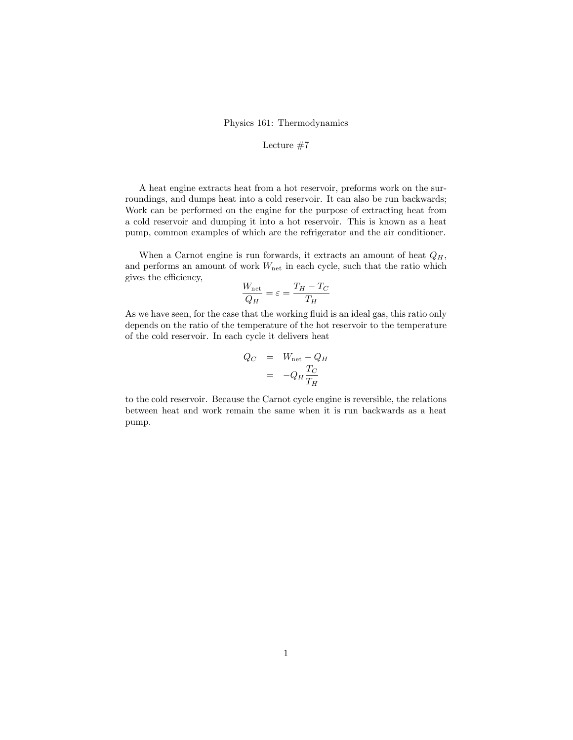## Physics 161: Thermodynamics

## Lecture #7

A heat engine extracts heat from a hot reservoir, preforms work on the surroundings, and dumps heat into a cold reservoir. It can also be run backwards; Work can be performed on the engine for the purpose of extracting heat from a cold reservoir and dumping it into a hot reservoir. This is known as a heat pump, common examples of which are the refrigerator and the air conditioner.

When a Carnot engine is run forwards, it extracts an amount of heat  $Q_H$ , and performs an amount of work  $W_{\text{net}}$  in each cycle, such that the ratio which gives the efficiency,

$$
\frac{W_{\text{net}}}{Q_H} = \varepsilon = \frac{T_H - T_C}{T_H}
$$

As we have seen, for the case that the working fluid is an ideal gas, this ratio only depends on the ratio of the temperature of the hot reservoir to the temperature of the cold reservoir. In each cycle it delivers heat

$$
Q_C = W_{\text{net}} - Q_H
$$

$$
= -Q_H \frac{T_C}{T_H}
$$

to the cold reservoir. Because the Carnot cycle engine is reversible, the relations between heat and work remain the same when it is run backwards as a heat pump.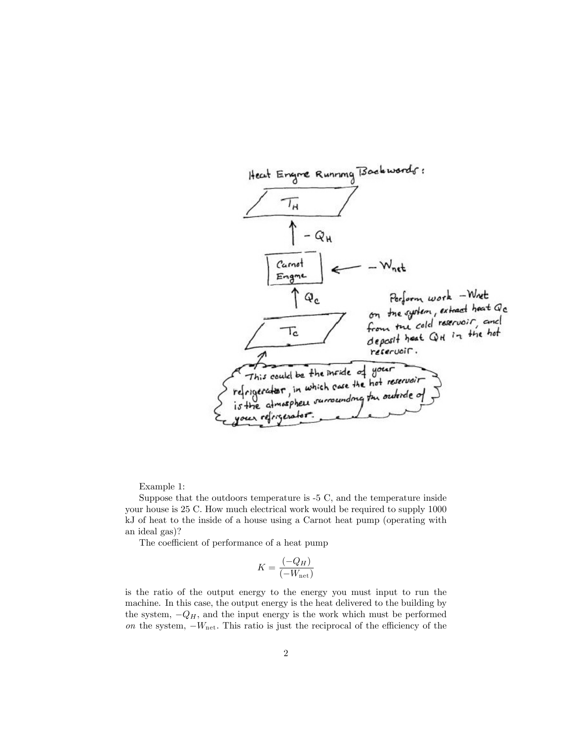

Example 1:

Suppose that the outdoors temperature is -5 C, and the temperature inside your house is 25 C. How much electrical work would be required to supply 1000 kJ of heat to the inside of a house using a Carnot heat pump (operating with an ideal gas)?

The coefficient of performance of a heat pump

$$
K = \frac{(-Q_H)}{(-W_{\text{net}})}
$$

is the ratio of the output energy to the energy you must input to run the machine. In this case, the output energy is the heat delivered to the building by the system,  $-Q_H$ , and the input energy is the work which must be performed on the system,  $-W_{\text{net}}$ . This ratio is just the reciprocal of the efficiency of the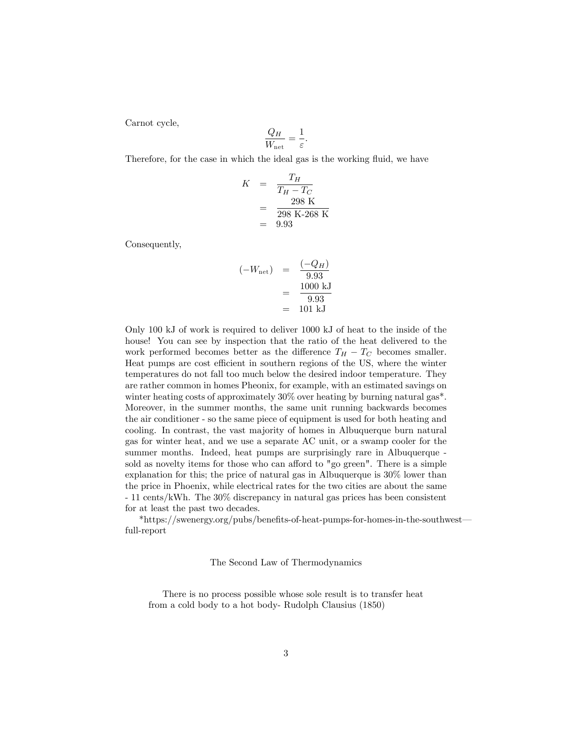Carnot cycle,

$$
\frac{Q_H}{W_{\text{net}}} = \frac{1}{\varepsilon}.
$$

Therefore, for the case in which the ideal gas is the working fluid, we have

$$
K = \frac{T_H}{T_H - T_C}
$$
  
=  $\frac{298 \text{ K}}{298 \text{ K} - 268 \text{ K}}$   
= 9.93

Consequently,

$$
(-W_{\text{net}})
$$
 =  $\frac{(-Q_H)}{9.93}$   
 =  $\frac{1000 \text{ kJ}}{9.93}$   
 = 101 kJ

Only 100 kJ of work is required to deliver 1000 kJ of heat to the inside of the house! You can see by inspection that the ratio of the heat delivered to the work performed becomes better as the difference  $T_H - T_C$  becomes smaller. Heat pumps are cost efficient in southern regions of the US, where the winter temperatures do not fall too much below the desired indoor temperature. They are rather common in homes Pheonix, for example, with an estimated savings on winter heating costs of approximately 30% over heating by burning natural gas<sup>\*</sup>. Moreover, in the summer months, the same unit running backwards becomes the air conditioner - so the same piece of equipment is used for both heating and cooling. In contrast, the vast majority of homes in Albuquerque burn natural gas for winter heat, and we use a separate AC unit, or a swamp cooler for the summer months. Indeed, heat pumps are surprisingly rare in Albuquerque sold as novelty items for those who can afford to "go green". There is a simple explanation for this; the price of natural gas in Albuquerque is 30% lower than the price in Phoenix, while electrical rates for the two cities are about the same - 11 cents/kWh. The 30% discrepancy in natural gas prices has been consistent for at least the past two decades.

\*https://swenergy.org/pubs/benefits-of-heat-pumps-for-homes-in-the-southwest full-report

The Second Law of Thermodynamics

There is no process possible whose sole result is to transfer heat from a cold body to a hot body- Rudolph Clausius (1850)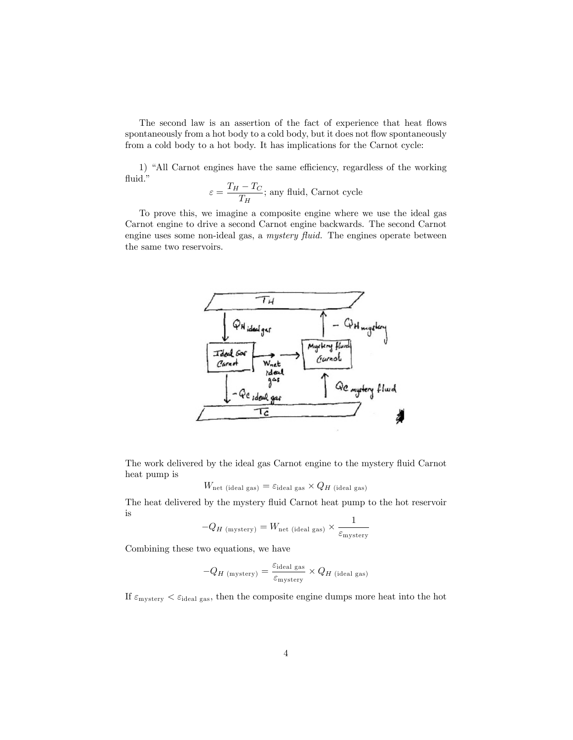The second law is an assertion of the fact of experience that heat flows spontaneously from a hot body to a cold body, but it does not flow spontaneously from a cold body to a hot body. It has implications for the Carnot cycle:

1) "All Carnot engines have the same efficiency, regardless of the working fluid."

$$
\varepsilon = \frac{T_H - T_C}{T_H};
$$
 any fluid, Carnot cycle

To prove this, we imagine a composite engine where we use the ideal gas Carnot engine to drive a second Carnot engine backwards. The second Carnot engine uses some non-ideal gas, a  $m$ ystery fluid. The engines operate between the same two reservoirs.



The work delivered by the ideal gas Carnot engine to the mystery fluid Carnot heat pump is

$$
W_{\text{net (ideal gas)}} = \varepsilon_{\text{ideal gas}} \times Q_H \text{ (ideal gas)}
$$

The heat delivered by the mystery fluid Carnot heat pump to the hot reservoir is

$$
-Q_{H\,\rm (mystery)}=W_{\rm net\,\,(ideal\,\,gas)}\times\frac{1}{\varepsilon_{\rm mystery}}
$$

Combining these two equations, we have

$$
-Q_{H \text{ (mystery)}} = \frac{\varepsilon_{\text{ideal gas}}}{\varepsilon_{\text{mystery}}} \times Q_{H \text{ (ideal gas)}}
$$

If  $\varepsilon_{\text{mystery}} < \varepsilon_{\text{ideal gas}}$ , then the composite engine dumps more heat into the hot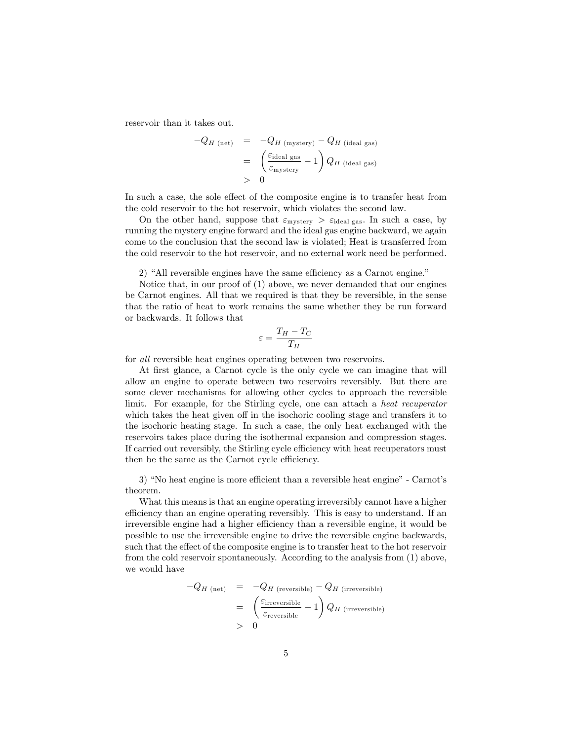reservoir than it takes out.

$$
-Q_{H \text{ (net)}} = -Q_{H \text{ (mystery)}} - Q_{H \text{ (ideal gas)}}
$$
  
= 
$$
\left(\frac{\varepsilon_{\text{ideal gas}}}{\varepsilon_{\text{mystery}}} - 1\right) Q_{H \text{ (ideal gas)}}
$$
  
> 0

In such a case, the sole effect of the composite engine is to transfer heat from the cold reservoir to the hot reservoir, which violates the second law.

On the other hand, suppose that  $\varepsilon_{\text{mystery}} > \varepsilon_{\text{ideal gas}}$ . In such a case, by running the mystery engine forward and the ideal gas engine backward, we again come to the conclusion that the second law is violated; Heat is transferred from the cold reservoir to the hot reservoir, and no external work need be performed.

2) "All reversible engines have the same efficiency as a Carnot engine."

Notice that, in our proof of (1) above, we never demanded that our engines be Carnot engines. All that we required is that they be reversible, in the sense that the ratio of heat to work remains the same whether they be run forward or backwards. It follows that

$$
\varepsilon = \frac{T_H - T_C}{T_H}
$$

for all reversible heat engines operating between two reservoirs.

At first glance, a Carnot cycle is the only cycle we can imagine that will allow an engine to operate between two reservoirs reversibly. But there are some clever mechanisms for allowing other cycles to approach the reversible limit. For example, for the Stirling cycle, one can attach a heat recuperator which takes the heat given off in the isochoric cooling stage and transfers it to the isochoric heating stage. In such a case, the only heat exchanged with the reservoirs takes place during the isothermal expansion and compression stages. If carried out reversibly, the Stirling cycle efficiency with heat recuperators must then be the same as the Carnot cycle efficiency.

3) "No heat engine is more efficient than a reversible heat engine" - Carnot's theorem.

What this means is that an engine operating irreversibly cannot have a higher efficiency than an engine operating reversibly. This is easy to understand. If an irreversible engine had a higher efficiency than a reversible engine, it would be possible to use the irreversible engine to drive the reversible engine backwards, such that the effect of the composite engine is to transfer heat to the hot reservoir from the cold reservoir spontaneously. According to the analysis from (1) above, we would have

$$
-Q_{H \text{ (net)}} = -Q_{H \text{ (reversible)}} - Q_{H \text{ (irreversible)}}
$$
  
= 
$$
\left(\frac{\varepsilon_{\text{irreversible}}}{\varepsilon_{\text{reversible}}} - 1\right) Q_{H \text{ (irreversible)}}
$$
  
> 0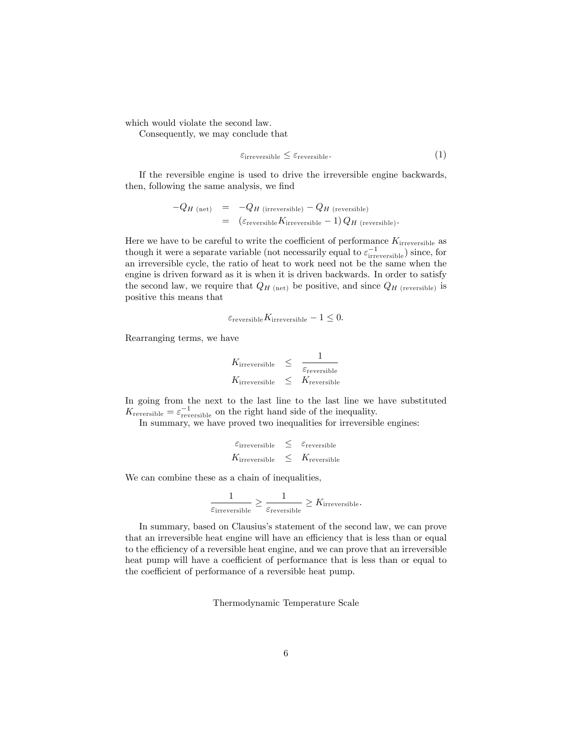which would violate the second law.

Consequently, we may conclude that

$$
\varepsilon_{\text{irreversible}} \leq \varepsilon_{\text{reversible}}.\tag{1}
$$

If the reversible engine is used to drive the irreversible engine backwards, then, following the same analysis, we find

$$
-Q_{H\text{ (net)}} = -Q_{H\text{ (irreversible)}} - Q_{H\text{ (reversible)}}
$$
  
=  $(\varepsilon_{\text{reversible}} K_{\text{irreversible}} - 1) Q_{H\text{ (reversible)}}.$ 

Here we have to be careful to write the coefficient of performance  $K_{\text{irreversible}}$  as though it were a separate variable (not necessarily equal to  $\varepsilon_{\text{irreversible}}^{-1}$ ) since, for an irreversible cycle, the ratio of heat to work need not be the same when the engine is driven forward as it is when it is driven backwards. In order to satisfy the second law, we require that  $Q_{H\text{ (net)}}$  be positive, and since  $Q_{H\text{ (reversible)}}$  is positive this means that

$$
\varepsilon_{\text{reversible}} K_{\text{irreversible}} - 1 \leq 0.
$$

Rearranging terms, we have

$$
K_{\text{irreversible}} \leq \frac{1}{\varepsilon_{\text{reversible}}}
$$
  

$$
K_{\text{irreversible}} \leq K_{\text{reversible}}
$$

In going from the next to the last line to the last line we have substituted  $K_{\text{reversible}} = \varepsilon_{\text{reversible}}^{-1}$  on the right hand side of the inequality.

In summary, we have proved two inequalities for irreversible engines:

$$
\begin{array}{lclcl} \varepsilon_{\text{irreversible}} & \leq & \varepsilon_{\text{reversible}} \\ K_{\text{irreversible}} & \leq & K_{\text{reversible}} \end{array}
$$

We can combine these as a chain of inequalities,

$$
\frac{1}{\varepsilon_{\text{irreversible}}} \geq \frac{1}{\varepsilon_{\text{reversible}}} \geq K_{\text{irreversible}}.
$$

In summary, based on Clausiusís statement of the second law, we can prove that an irreversible heat engine will have an efficiency that is less than or equal to the efficiency of a reversible heat engine, and we can prove that an irreversible heat pump will have a coefficient of performance that is less than or equal to the coefficient of performance of a reversible heat pump.

Thermodynamic Temperature Scale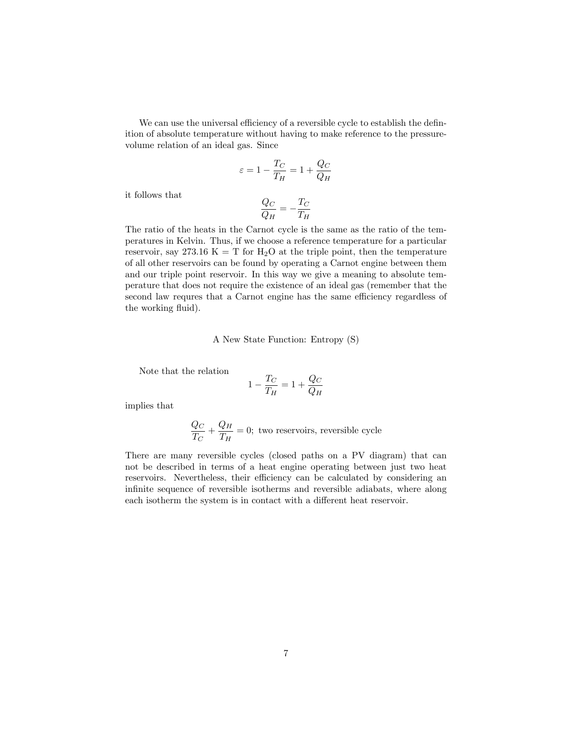We can use the universal efficiency of a reversible cycle to establish the definition of absolute temperature without having to make reference to the pressurevolume relation of an ideal gas. Since

$$
\varepsilon = 1 - \frac{T_C}{T_H} = 1 + \frac{Q_C}{Q_H}
$$

it follows that

$$
\frac{Q_C}{Q_H}=-\frac{T_C}{T_H}
$$

The ratio of the heats in the Carnot cycle is the same as the ratio of the temperatures in Kelvin. Thus, if we choose a reference temperature for a particular reservoir, say 273.16 K = T for  $H_2O$  at the triple point, then the temperature of all other reservoirs can be found by operating a Carnot engine between them and our triple point reservoir. In this way we give a meaning to absolute temperature that does not require the existence of an ideal gas (remember that the second law requres that a Carnot engine has the same efficiency regardless of the working fluid).

## A New State Function: Entropy (S)

Note that the relation

$$
1 - \frac{T_C}{T_H} = 1 + \frac{Q_C}{Q_H}
$$

implies that

$$
\frac{Q_C}{T_C} + \frac{Q_H}{T_H} = 0
$$
; two reservoirs, reversible cycle

There are many reversible cycles (closed paths on a PV diagram) that can not be described in terms of a heat engine operating between just two heat reservoirs. Nevertheless, their efficiency can be calculated by considering an infinite sequence of reversible isotherms and reversible adiabats, where along each isotherm the system is in contact with a different heat reservoir.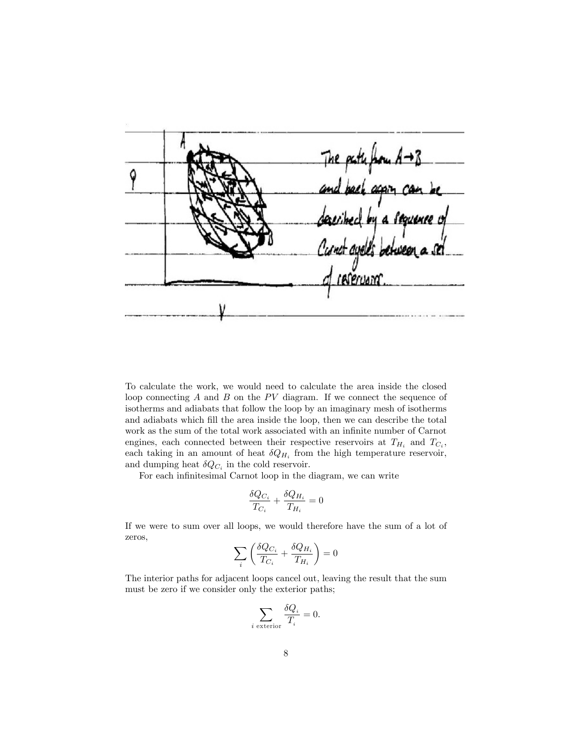path from Q a Seguence

To calculate the work, we would need to calculate the area inside the closed loop connecting  $A$  and  $B$  on the  $PV$  diagram. If we connect the sequence of isotherms and adiabats that follow the loop by an imaginary mesh of isotherms and adiabats which fill the area inside the loop, then we can describe the total work as the sum of the total work associated with an infinite number of Carnot engines, each connected between their respective reservoirs at  $T_{H_i}$  and  $T_{C_i}$ , each taking in an amount of heat  $\delta Q_{H_i}$  from the high temperature reservoir, and dumping heat  $\delta Q_{C_i}$  in the cold reservoir.

For each infinitesimal Carnot loop in the diagram, we can write

$$
\frac{\delta Q_{C_i}}{T_{C_i}} + \frac{\delta Q_{H_i}}{T_{H_i}} = 0
$$

If we were to sum over all loops, we would therefore have the sum of a lot of zeros,

$$
\sum_i \left(\frac{\delta Q_{C_i}}{T_{C_i}}+\frac{\delta Q_{H_i}}{T_{H_i}}\right)=0
$$

The interior paths for adjacent loops cancel out, leaving the result that the sum must be zero if we consider only the exterior paths;

$$
\sum_{i \text{ exterior}} \frac{\delta Q_i}{T_i} = 0.
$$